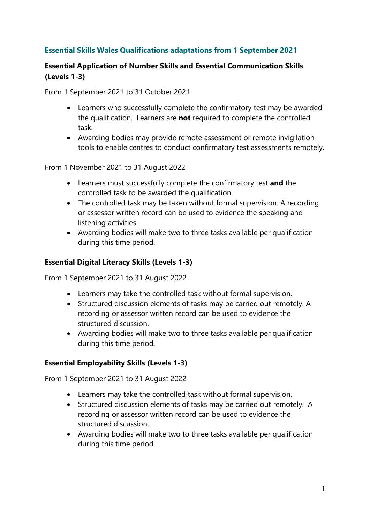# Essential Skills Wales Qualifications adaptations from 1 September 2021

# Essential Application of Number Skills and Essential Communication Skills (Levels 1-3)

From 1 September 2021 to 31 October 2021

- Learners who successfully complete the confirmatory test may be awarded the qualification. Learners are not required to complete the controlled task.
- Awarding bodies may provide remote assessment or remote invigilation tools to enable centres to conduct confirmatory test assessments remotely.

From 1 November 2021 to 31 August 2022

- Learners must successfully complete the confirmatory test and the controlled task to be awarded the qualification.
- The controlled task may be taken without formal supervision. A recording or assessor written record can be used to evidence the speaking and listening activities.
- Awarding bodies will make two to three tasks available per qualification during this time period.

### Essential Digital Literacy Skills (Levels 1-3)

From 1 September 2021 to 31 August 2022

- Learners may take the controlled task without formal supervision.
- Structured discussion elements of tasks may be carried out remotely. A recording or assessor written record can be used to evidence the structured discussion.
- Awarding bodies will make two to three tasks available per qualification during this time period.

#### Essential Employability Skills (Levels 1-3)

From 1 September 2021 to 31 August 2022

- Learners may take the controlled task without formal supervision.
- Structured discussion elements of tasks may be carried out remotely. A recording or assessor written record can be used to evidence the structured discussion.
- Awarding bodies will make two to three tasks available per qualification during this time period.